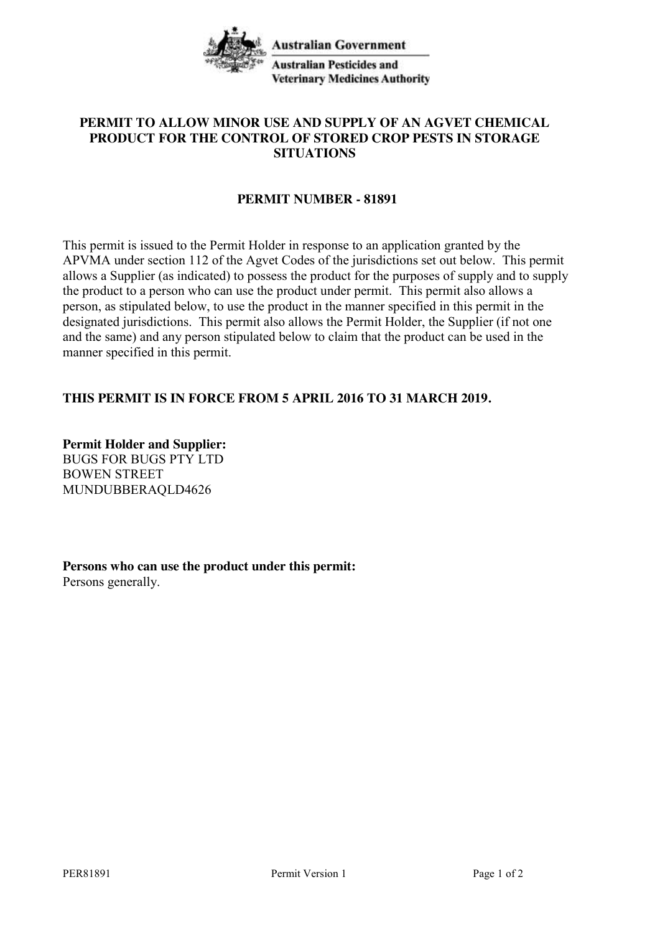

## **PERMIT TO ALLOW MINOR USE AND SUPPLY OF AN AGVET CHEMICAL PRODUCT FOR THE CONTROL OF STORED CROP PESTS IN STORAGE SITUATIONS**

## **PERMIT NUMBER - 81891**

This permit is issued to the Permit Holder in response to an application granted by the APVMA under section 112 of the Agvet Codes of the jurisdictions set out below. This permit allows a Supplier (as indicated) to possess the product for the purposes of supply and to supply the product to a person who can use the product under permit. This permit also allows a person, as stipulated below, to use the product in the manner specified in this permit in the designated jurisdictions. This permit also allows the Permit Holder, the Supplier (if not one and the same) and any person stipulated below to claim that the product can be used in the manner specified in this permit.

## **THIS PERMIT IS IN FORCE FROM 5 APRIL 2016 TO 31 MARCH 2019.**

**Permit Holder and Supplier:** BUGS FOR BUGS PTY LTD BOWEN STREET MUNDUBBERAQLD4626

**Persons who can use the product under this permit:** Persons generally.